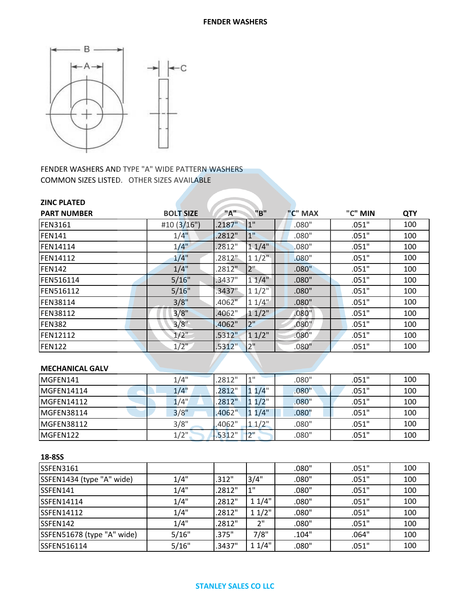

FENDER WASHERS AND TYPE "A" WIDE PATTERN WASHERS COMMON SIZES LISTED. OTHER SIZES AVAILABLE

| <b>ZINC PLATED</b> |                  |                      |                 |         |         |            |
|--------------------|------------------|----------------------|-----------------|---------|---------|------------|
| <b>PART NUMBER</b> | <b>BOLT SIZE</b> | "A"                  | "B"             | "C" MAX | "C" MIN | <b>QTY</b> |
| <b>FEN3161</b>     | #10(3/16")       | .2187"               | 1"              | .080"   | .051"   | 100        |
| <b>FEN141</b>      | $1/4$ "          | .2812"               | 1"              | .080"   | .051"   | 100        |
| <b>FEN14114</b>    | $1/4$ "          | .2812"               | 11/4"           | .080"   | .051"   | 100        |
| <b>FEN14112</b>    | $1/4$ "          | .2812"               | $11/2$ "        | .080"   | .051"   | 100        |
| <b>FEN142</b>      | 1/4"             | .2812"               | 2 <sup>''</sup> | .080"   | .051"   | 100        |
| <b>FEN516114</b>   | 5/16"            | .3437"               | 11/4"           | .080"   | .051"   | 100        |
| <b>FEN516112</b>   | 5/16"            | $.3437$ "            | $11/2$ "        | .080"   | .051"   | 100        |
| <b>FEN38114</b>    | 3/8"             | $.4062$ <sup>"</sup> | $11/4$ "        | .080"   | .051"   | 100        |
| <b>FEN38112</b>    | 3/8"             | .4062"               | 11/2"           | .080"   | .051"   | 100        |
| <b>FEN382</b>      | 3/8"             | .4062"               | 2"              | .080"   | .051"   | 100        |
| <b>FEN12112</b>    | $1/2$ "          | .5312"               | 11/2"           | .080"   | .051"   | 100        |
| <b>FEN122</b>      | $1/2$ "          | .5312"               | 2"              | .080"   | .051"   | 100        |
|                    |                  |                      |                 |         |         |            |

## **MECHANICAL GALV**

| MGFEN141    | 1/4"    | .2812" | 4H      | .080" | .051" | 100 |
|-------------|---------|--------|---------|-------|-------|-----|
| MGFEN14114  | 1/4"    | 2812"  | $1/4$ " | .080" | .051" | 100 |
| MGFEN14112  | 1/4"    | 2812"  | $1/2$ " | .080" | .051" | 100 |
| IMGFEN38114 | 3/8"    | .4062" | 1/4"    | .080" | .051" | 100 |
| IMGFEN38112 | 3/8"    | .4062" | 11/2"   | .080" | .051" | 100 |
| MGFEN122    | $1/2$ " | .5312" | ייר     | .080" | .051" | 100 |

| <b>SSFEN3161</b>           |       |        |       | .080" | .051" | 100 |
|----------------------------|-------|--------|-------|-------|-------|-----|
| SSFEN1434 (type "A" wide)  | 1/4"  | .312"  | 3/4"  | .080" | .051" | 100 |
| SSFEN141                   | 1/4"  | .2812" | 1"    | .080" | .051" | 100 |
| <b>SSFEN14114</b>          | 1/4"  | .2812" | 11/4" | .080" | .051" | 100 |
| <b>SSFEN14112</b>          | 1/4"  | .2812" | 11/2" | .080" | .051" | 100 |
| SSFEN142                   | 1/4"  | .2812" | 2"    | .080" | .051" | 100 |
| SSFEN51678 (type "A" wide) | 5/16" | .375"  | 7/8"  | .104" | .064" | 100 |
| SSFEN516114                | 5/16" | .3437" | 11/4" | .080" | .051" | 100 |

## **STANLEY SALES CO LLC**